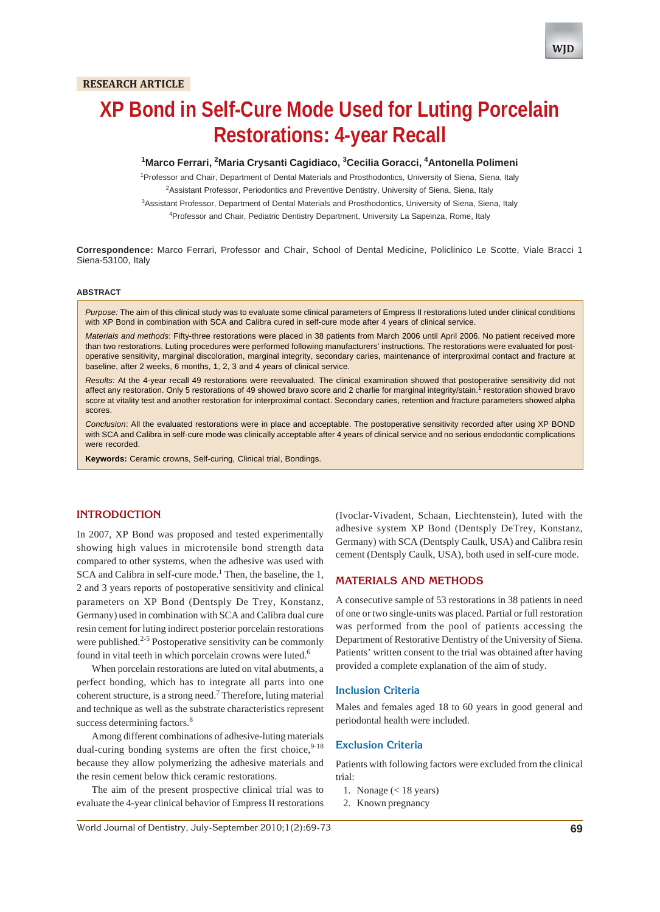# **XP Bond in Self-Cure Mode Used for Luting Porcelain Restorations: 4-year Recall**

## <sup>1</sup>Marco Ferrari, <sup>2</sup>Maria Crysanti Cagidiaco, <sup>3</sup>Cecilia Goracci, <sup>4</sup>Antonella Polimeni

<sup>1</sup> Professor and Chair, Department of Dental Materials and Prosthodontics, University of Siena, Siena, Italy <sup>2</sup> Assistant Professor, Periodontics and Preventive Dentistry, University of Siena, Siena, Italy 3 Assistant Professor, Department of Dental Materials and Prosthodontics, University of Siena, Siena, Italy

<sup>4</sup>Professor and Chair, Pediatric Dentistry Department, University La Sapeinza, Rome, Italy

**Correspondence:** Marco Ferrari, Professor and Chair, School of Dental Medicine, Policlinico Le Scotte, Viale Bracci 1 Siena-53100, Italy

#### **ABSTRACT**

*Purpose:* The aim of this clinical study was to evaluate some clinical parameters of Empress II restorations luted under clinical conditions with XP Bond in combination with SCA and Calibra cured in self-cure mode after 4 years of clinical service.

*Materials and methods*: Fifty-three restorations were placed in 38 patients from March 2006 until April 2006. No patient received more than two restorations. Luting procedures were performed following manufacturers' instructions. The restorations were evaluated for postoperative sensitivity, marginal discoloration, marginal integrity, secondary caries, maintenance of interproximal contact and fracture at baseline, after 2 weeks, 6 months, 1, 2, 3 and 4 years of clinical service.

*Results*: At the 4-year recall 49 restorations were reevaluated. The clinical examination showed that postoperative sensitivity did not affect any restoration. Only 5 restorations of 49 showed bravo score and 2 charlie for marginal integrity/stain.<sup>1</sup> restoration showed bravo score at vitality test and another restoration for interproximal contact. Secondary caries, retention and fracture parameters showed alpha scores.

*Conclusion*: All the evaluated restorations were in place and acceptable. The postoperative sensitivity recorded after using XP BOND with SCA and Calibra in self-cure mode was clinically acceptable after 4 years of clinical service and no serious endodontic complications were recorded.

**Keywords:** Ceramic crowns, Self-curing, Clinical trial, Bondings.

## **INTRODUCTION**

In 2007, XP Bond was proposed and tested experimentally showing high values in microtensile bond strength data compared to other systems, when the adhesive was used with SCA and Calibra in self-cure mode.<sup>1</sup> Then, the baseline, the 1, 2 and 3 years reports of postoperative sensitivity and clinical parameters on XP Bond (Dentsply De Trey, Konstanz, Germany) used in combination with SCA and Calibra dual cure resin cement for luting indirect posterior porcelain restorations were published. $2-5$  Postoperative sensitivity can be commonly found in vital teeth in which porcelain crowns were luted.<sup>6</sup>

When porcelain restorations are luted on vital abutments, a perfect bonding, which has to integrate all parts into one coherent structure, is a strong need.7 Therefore, luting material and technique as well as the substrate characteristics represent success determining factors.<sup>8</sup>

Among different combinations of adhesive-luting materials dual-curing bonding systems are often the first choice, 9-18 because they allow polymerizing the adhesive materials and the resin cement below thick ceramic restorations.

The aim of the present prospective clinical trial was to evaluate the 4-year clinical behavior of Empress II restorations

(Ivoclar-Vivadent, Schaan, Liechtenstein), luted with the adhesive system XP Bond (Dentsply DeTrey, Konstanz, Germany) with SCA (Dentsply Caulk, USA) and Calibra resin cement (Dentsply Caulk, USA), both used in self-cure mode.

## **MATERIALS AND METHODS**

A consecutive sample of 53 restorations in 38 patients in need of one or two single-units was placed. Partial or full restoration was performed from the pool of patients accessing the Department of Restorative Dentistry of the University of Siena. Patients' written consent to the trial was obtained after having provided a complete explanation of the aim of study.

#### **Inclusion Criteria**

Males and females aged 18 to 60 years in good general and periodontal health were included.

## **Exclusion Criteria**

Patients with following factors were excluded from the clinical trial:

- 1. Nonage (< 18 years)
- 2. Known pregnancy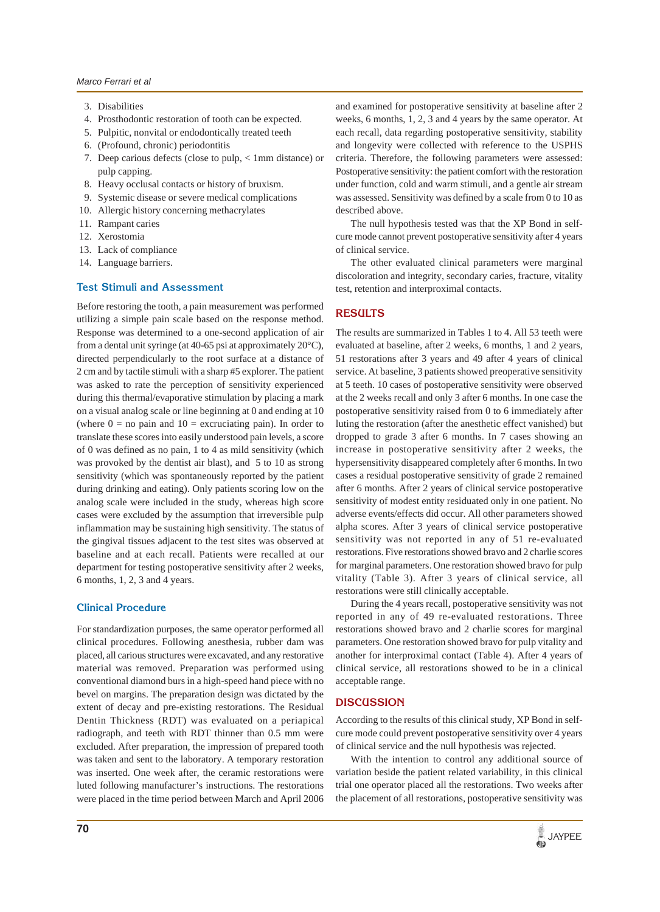- 3. Disabilities
- 4. Prosthodontic restoration of tooth can be expected.
- 5. Pulpitic, nonvital or endodontically treated teeth
- 6. (Profound, chronic) periodontitis
- 7. Deep carious defects (close to pulp, < 1mm distance) or pulp capping.
- 8. Heavy occlusal contacts or history of bruxism.
- 9. Systemic disease or severe medical complications
- 10. Allergic history concerning methacrylates
- 11. Rampant caries
- 12. Xerostomia
- 13. Lack of compliance
- 14. Language barriers.

## **Test Stimuli and Assessment**

Before restoring the tooth, a pain measurement was performed utilizing a simple pain scale based on the response method. Response was determined to a one-second application of air from a dental unit syringe (at 40-65 psi at approximately 20°C), directed perpendicularly to the root surface at a distance of 2 cm and by tactile stimuli with a sharp #5 explorer. The patient was asked to rate the perception of sensitivity experienced during this thermal/evaporative stimulation by placing a mark on a visual analog scale or line beginning at 0 and ending at 10 (where  $0 =$  no pain and  $10 =$  excruciating pain). In order to translate these scores into easily understood pain levels, a score of 0 was defined as no pain, 1 to 4 as mild sensitivity (which was provoked by the dentist air blast), and 5 to 10 as strong sensitivity (which was spontaneously reported by the patient during drinking and eating). Only patients scoring low on the analog scale were included in the study, whereas high score cases were excluded by the assumption that irreversible pulp inflammation may be sustaining high sensitivity. The status of the gingival tissues adjacent to the test sites was observed at baseline and at each recall. Patients were recalled at our department for testing postoperative sensitivity after 2 weeks, 6 months, 1, 2, 3 and 4 years.

## **Clinical Procedure**

For standardization purposes, the same operator performed all clinical procedures. Following anesthesia, rubber dam was placed, all carious structures were excavated, and any restorative material was removed. Preparation was performed using conventional diamond burs in a high-speed hand piece with no bevel on margins. The preparation design was dictated by the extent of decay and pre-existing restorations. The Residual Dentin Thickness (RDT) was evaluated on a periapical radiograph, and teeth with RDT thinner than 0.5 mm were excluded. After preparation, the impression of prepared tooth was taken and sent to the laboratory. A temporary restoration was inserted. One week after, the ceramic restorations were luted following manufacturer's instructions. The restorations were placed in the time period between March and April 2006

and examined for postoperative sensitivity at baseline after 2 weeks, 6 months, 1, 2, 3 and 4 years by the same operator. At each recall, data regarding postoperative sensitivity, stability and longevity were collected with reference to the USPHS criteria. Therefore, the following parameters were assessed: Postoperative sensitivity: the patient comfort with the restoration under function, cold and warm stimuli, and a gentle air stream was assessed. Sensitivity was defined by a scale from 0 to 10 as described above.

The null hypothesis tested was that the XP Bond in selfcure mode cannot prevent postoperative sensitivity after 4 years of clinical service.

The other evaluated clinical parameters were marginal discoloration and integrity, secondary caries, fracture, vitality test, retention and interproximal contacts.

## **RESULTS**

The results are summarized in Tables 1 to 4. All 53 teeth were evaluated at baseline, after 2 weeks, 6 months, 1 and 2 years, 51 restorations after 3 years and 49 after 4 years of clinical service. At baseline, 3 patients showed preoperative sensitivity at 5 teeth. 10 cases of postoperative sensitivity were observed at the 2 weeks recall and only 3 after 6 months. In one case the postoperative sensitivity raised from 0 to 6 immediately after luting the restoration (after the anesthetic effect vanished) but dropped to grade 3 after 6 months. In 7 cases showing an increase in postoperative sensitivity after 2 weeks, the hypersensitivity disappeared completely after 6 months. In two cases a residual postoperative sensitivity of grade 2 remained after 6 months. After 2 years of clinical service postoperative sensitivity of modest entity residuated only in one patient. No adverse events/effects did occur. All other parameters showed alpha scores. After 3 years of clinical service postoperative sensitivity was not reported in any of 51 re-evaluated restorations. Five restorations showed bravo and 2 charlie scores for marginal parameters. One restoration showed bravo for pulp vitality (Table 3). After 3 years of clinical service, all restorations were still clinically acceptable.

During the 4 years recall, postoperative sensitivity was not reported in any of 49 re-evaluated restorations. Three restorations showed bravo and 2 charlie scores for marginal parameters. One restoration showed bravo for pulp vitality and another for interproximal contact (Table 4). After 4 years of clinical service, all restorations showed to be in a clinical acceptable range.

## **DISCUSSION**

According to the results of this clinical study, XP Bond in selfcure mode could prevent postoperative sensitivity over 4 years of clinical service and the null hypothesis was rejected.

With the intention to control any additional source of variation beside the patient related variability, in this clinical trial one operator placed all the restorations. Two weeks after the placement of all restorations, postoperative sensitivity was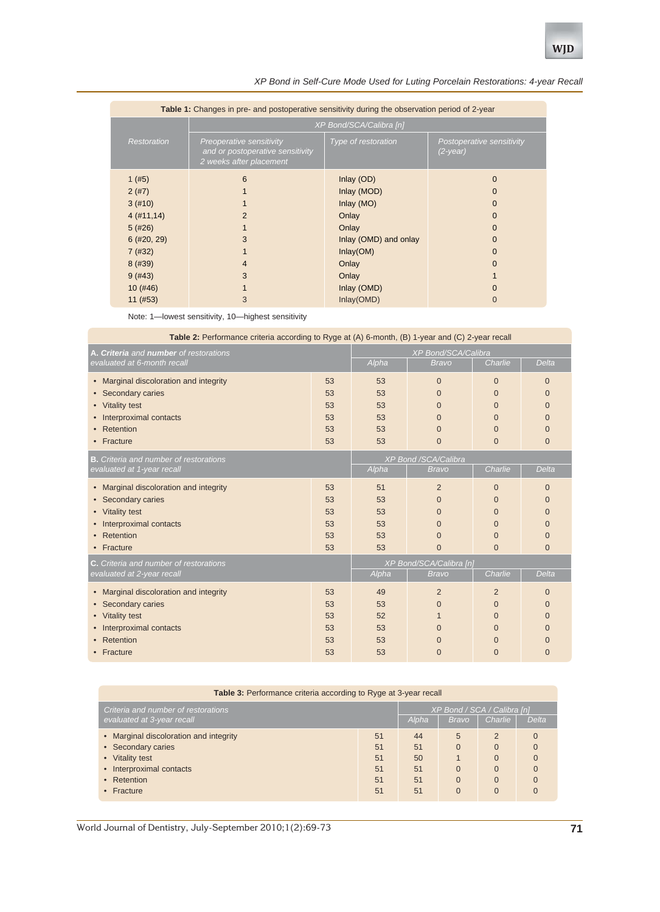| Table 1: Changes in pre- and postoperative sensitivity during the observation period of 2-year |                                                                                         |                                                                                                   |                                                      |  |  |
|------------------------------------------------------------------------------------------------|-----------------------------------------------------------------------------------------|---------------------------------------------------------------------------------------------------|------------------------------------------------------|--|--|
|                                                                                                | XP Bond/SCA/Calibra [n]                                                                 |                                                                                                   |                                                      |  |  |
| Restoration                                                                                    | Preoperative sensitivity<br>and or postoperative sensitivity<br>2 weeks after placement | Type of restoration                                                                               | Postoperative sensitivity<br>(2-year)                |  |  |
| 1 $(#5)$<br>2(#7)<br>3(#10)<br>4(#11, 14)<br>5(#26)<br>$6$ (#20, 29)<br>7(#32)                 | 6<br>2<br>3                                                                             | Inlay (OD)<br>Inlay (MOD)<br>Inlay $(MO)$<br>Onlay<br>Onlay<br>Inlay (OMD) and onlay<br>Inlay(OM) | $\Omega$<br>0<br>0<br>0<br>$\Omega$<br>$\Omega$<br>0 |  |  |
| 8(#39)<br>9(#43)                                                                               | 4<br>3                                                                                  | Onlay<br>Onlay                                                                                    | $\Omega$                                             |  |  |
| $10($ #46)<br>$11$ (#53)                                                                       | 3                                                                                       | Inlay (OMD)<br>Inlay(OMD)                                                                         | 0                                                    |  |  |

ī

### *XP Bond in Self-Cure Mode Used for Luting Porcelain Restorations: 4-year Recall*

|                                                    | ັ້ນ ເປີ<br>$10($ #46)<br>11 (#53)             | 3                                                                                                |              | Inlay (OMD)<br>Inlay(OMD)   |                | $\mathbf 0$<br>$\overline{0}$ |                |  |
|----------------------------------------------------|-----------------------------------------------|--------------------------------------------------------------------------------------------------|--------------|-----------------------------|----------------|-------------------------------|----------------|--|
| Note: 1-lowest sensitivity, 10-highest sensitivity |                                               |                                                                                                  |              |                             |                |                               |                |  |
|                                                    |                                               | Table 2: Performance criteria according to Ryge at (A) 6-month, (B) 1-year and (C) 2-year recall |              |                             |                |                               |                |  |
| A. Criteria and number of restorations             |                                               |                                                                                                  |              | XP Bond/SCA/Calibra         |                |                               |                |  |
|                                                    | evaluated at 6-month recall                   |                                                                                                  |              | Alpha                       | <b>Bravo</b>   | Charlie                       | Delta          |  |
| $\bullet$                                          | Marginal discoloration and integrity          |                                                                                                  | 53           | 53                          | $\overline{0}$ | $\overline{0}$                | $\overline{0}$ |  |
|                                                    | Secondary caries                              |                                                                                                  |              | 53                          | $\Omega$       | $\Omega$                      | 0              |  |
| <b>Vitality test</b><br>$\bullet$                  |                                               |                                                                                                  | 53           | 53                          | $\overline{0}$ | $\overline{0}$                | 0              |  |
| Interproximal contacts                             |                                               |                                                                                                  | 53           | 53                          | $\Omega$       | $\mathbf{0}$                  | 0              |  |
| Retention                                          |                                               | 53                                                                                               | 53           | $\Omega$                    | $\Omega$       | 0                             |                |  |
|                                                    | Fracture                                      |                                                                                                  | 53           | 53                          | $\mathbf{0}$   | $\Omega$                      | 0              |  |
|                                                    | <b>B.</b> Criteria and number of restorations |                                                                                                  |              | <b>XP Bond /SCA/Calibra</b> |                |                               |                |  |
| evaluated at 1-year recall                         |                                               | Alpha                                                                                            | <b>Bravo</b> | Charlie                     | Delta          |                               |                |  |
| $\bullet$                                          | Marginal discoloration and integrity          |                                                                                                  | 53           | 51                          | 2              | $\overline{0}$                | 0              |  |
|                                                    | Secondary caries                              |                                                                                                  | 53           | 53                          | $\Omega$       | $\Omega$                      | 0              |  |
| $\bullet$                                          | <b>Vitality test</b>                          |                                                                                                  | 53           | 53                          | $\Omega$       | $\Omega$                      | $\Omega$       |  |
|                                                    | Interproximal contacts                        |                                                                                                  | 53           | 53                          | $\Omega$       | $\Omega$                      | $\Omega$       |  |
|                                                    | Retention                                     |                                                                                                  | 53           | 53                          | $\Omega$       | $\overline{0}$                | $\Omega$       |  |
|                                                    | Fracture                                      |                                                                                                  | 53           | 53                          | $\overline{0}$ | $\overline{0}$                | 0              |  |
|                                                    | C. Criteria and number of restorations        |                                                                                                  |              | XP Bond/SCA/Calibra [n]     |                |                               |                |  |
|                                                    | evaluated at 2-year recall                    |                                                                                                  |              | Alpha                       | <b>Bravo</b>   | Charlie                       | Delta          |  |
| $\bullet$                                          | Marginal discoloration and integrity          |                                                                                                  | 53           | 49                          | $\overline{2}$ | $\overline{2}$                | 0              |  |
|                                                    | Secondary caries                              |                                                                                                  | 53           | 53                          | $\Omega$       | $\mathbf{0}$                  | 0              |  |
|                                                    | Vitality test                                 |                                                                                                  | 53           | 52                          |                | $\overline{0}$                | 0              |  |
|                                                    | Interproximal contacts                        |                                                                                                  | 53           | 53                          | $\Omega$       | $\overline{0}$                | O              |  |
|                                                    | Retention                                     |                                                                                                  | 53           | 53                          | $\overline{0}$ | $\overline{0}$                | 0              |  |

## **Table 3:** Performance criteria according to Ryge at 3-year recall

• Fracture  $\qquad \qquad$  53  $\qquad \qquad$  53  $\qquad \qquad$  0  $\qquad \qquad$  0  $\qquad \qquad$ 

| Criteria and number of restorations    |    | XP Bond / SCA / Calibra [n] |              |               |          |
|----------------------------------------|----|-----------------------------|--------------|---------------|----------|
| evaluated at 3-year recall             |    | Alpha                       | <b>Bravo</b> | Charlie       | Delta    |
| • Marginal discoloration and integrity | 51 | 44                          | 5            | $\mathcal{P}$ | $\Omega$ |
| • Secondary caries                     | 51 | 51                          | $\Omega$     | O             |          |
| • Vitality test                        | 51 | 50                          |              | 0             |          |
| • Interproximal contacts               | 51 | 51                          | $\Omega$     | 0             |          |
| • Retention                            | 51 | 51                          | $\Omega$     | 0             |          |
| $\bullet$ Fracture                     | 51 | 51                          |              |               |          |

World Journal of Dentistry, July-September 2010;1(2):69-73 **71**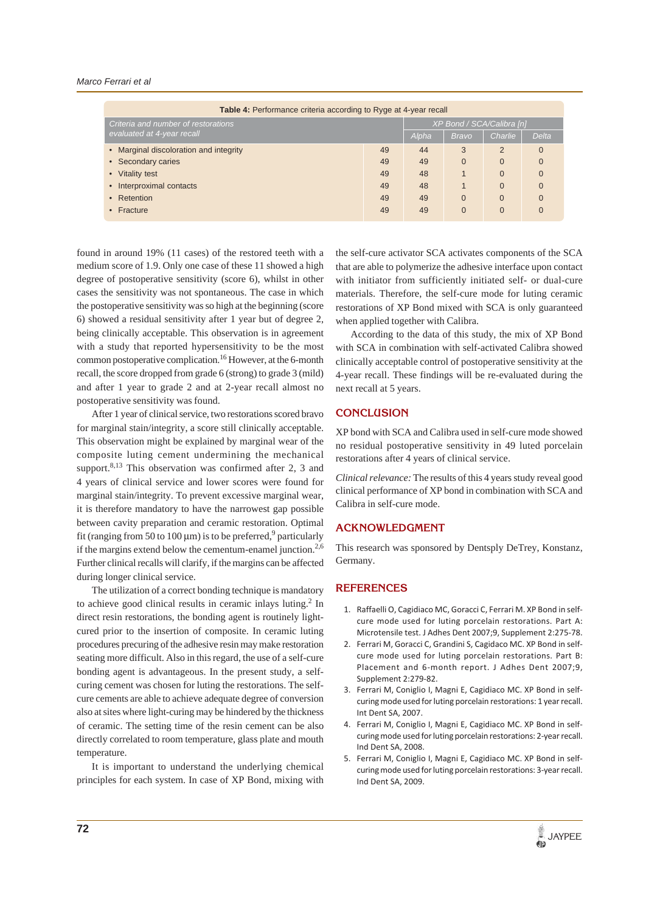#### *Marco Ferrari et al*

| <b>Table 4:</b> Performance criteria according to Ryge at 4-year recall |    |                           |                |                |          |  |
|-------------------------------------------------------------------------|----|---------------------------|----------------|----------------|----------|--|
| Criteria and number of restorations<br>evaluated at 4-year recall       |    | XP Bond / SCA/Calibra [n] |                |                |          |  |
|                                                                         |    | Alpha                     | <b>Bravo</b>   | Charlie        | Delta    |  |
| • Marginal discoloration and integrity                                  | 49 | 44                        | 3              | $\overline{2}$ | $\Omega$ |  |
| • Secondary caries                                                      | 49 | 49                        | $\Omega$       | $\Omega$       | 0        |  |
| • Vitality test                                                         | 49 | 48                        |                | $\Omega$       | $\Omega$ |  |
| • Interproximal contacts                                                | 49 | 48                        |                | $\Omega$       | $\Omega$ |  |
| • Retention                                                             | 49 | 49                        | $\overline{0}$ | $\Omega$       | $\Omega$ |  |
| • Fracture                                                              | 49 | 49                        | $\overline{0}$ | $\overline{0}$ | 0        |  |

found in around 19% (11 cases) of the restored teeth with a medium score of 1.9. Only one case of these 11 showed a high degree of postoperative sensitivity (score 6), whilst in other cases the sensitivity was not spontaneous. The case in which the postoperative sensitivity was so high at the beginning (score 6) showed a residual sensitivity after 1 year but of degree 2, being clinically acceptable. This observation is in agreement with a study that reported hypersensitivity to be the most common postoperative complication.<sup>16</sup> However, at the 6-month recall, the score dropped from grade 6 (strong) to grade 3 (mild) and after 1 year to grade 2 and at 2-year recall almost no postoperative sensitivity was found.

After 1 year of clinical service, two restorations scored bravo for marginal stain/integrity, a score still clinically acceptable. This observation might be explained by marginal wear of the composite luting cement undermining the mechanical support. $8,13$  This observation was confirmed after 2, 3 and 4 years of clinical service and lower scores were found for marginal stain/integrity. To prevent excessive marginal wear, it is therefore mandatory to have the narrowest gap possible between cavity preparation and ceramic restoration. Optimal fit (ranging from 50 to 100  $\mu$ m) is to be preferred,<sup>9</sup> particularly if the margins extend below the cementum-enamel junction.<sup>2,6</sup> Further clinical recalls will clarify, if the margins can be affected during longer clinical service.

The utilization of a correct bonding technique is mandatory to achieve good clinical results in ceramic inlays luting. $2$  In direct resin restorations, the bonding agent is routinely lightcured prior to the insertion of composite. In ceramic luting procedures precuring of the adhesive resin may make restoration seating more difficult. Also in this regard, the use of a self-cure bonding agent is advantageous. In the present study, a selfcuring cement was chosen for luting the restorations. The selfcure cements are able to achieve adequate degree of conversion also at sites where light-curing may be hindered by the thickness of ceramic. The setting time of the resin cement can be also directly correlated to room temperature, glass plate and mouth temperature.

It is important to understand the underlying chemical principles for each system. In case of XP Bond, mixing with

the self-cure activator SCA activates components of the SCA that are able to polymerize the adhesive interface upon contact with initiator from sufficiently initiated self- or dual-cure materials. Therefore, the self-cure mode for luting ceramic restorations of XP Bond mixed with SCA is only guaranteed when applied together with Calibra.

According to the data of this study, the mix of XP Bond with SCA in combination with self-activated Calibra showed clinically acceptable control of postoperative sensitivity at the 4-year recall. These findings will be re-evaluated during the next recall at 5 years.

## **CONCLUSION**

XP bond with SCA and Calibra used in self-cure mode showed no residual postoperative sensitivity in 49 luted porcelain restorations after 4 years of clinical service.

*Clinical relevance:* The results of this 4 years study reveal good clinical performance of XP bond in combination with SCA and Calibra in self-cure mode.

## **ACKNOWLEDGMENT**

This research was sponsored by Dentsply DeTrey, Konstanz, Germany.

## **REFERENCES**

- 1. Raffaelli O, Cagidiaco MC, Goracci C, Ferrari M. XP Bond in selfcure mode used for luting porcelain restorations. Part A: Microtensile test. J Adhes Dent 2007;9, Supplement 2:275-78.
- 2. Ferrari M, Goracci C, Grandini S, Cagidaco MC. XP Bond in selfcure mode used for luting porcelain restorations. Part B: Placement and 6-month report. J Adhes Dent 2007;9, Supplement 2:279-82.
- 3. Ferrari M, Coniglio I, Magni E, Cagidiaco MC. XP Bond in selfcuring mode used for luting porcelain restorations: 1 year recall. Int Dent SA, 2007.
- 4. Ferrari M, Coniglio I, Magni E, Cagidiaco MC. XP Bond in selfcuring mode used for luting porcelain restorations: 2-year recall. Ind Dent SA, 2008.
- 5. Ferrari M, Coniglio I, Magni E, Cagidiaco MC. XP Bond in selfcuring mode used for luting porcelain restorations: 3-year recall. Ind Dent SA, 2009.